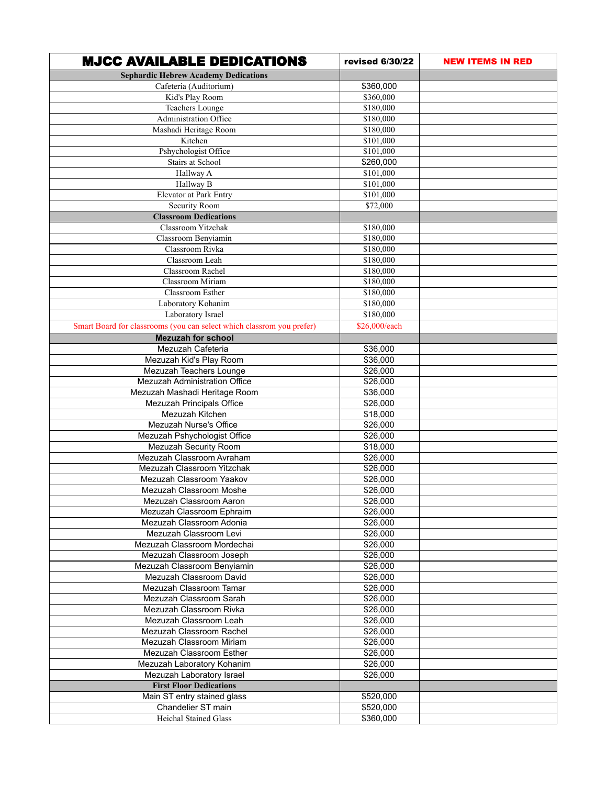| <b>MJCC AVAILABLE DEDICATIONS</b>                                     | revised 6/30/22      | <b>NEW ITEMS IN RED</b> |
|-----------------------------------------------------------------------|----------------------|-------------------------|
| <b>Sephardic Hebrew Academy Dedications</b>                           |                      |                         |
| Cafeteria (Auditorium)                                                | \$360,000            |                         |
| Kid's Play Room                                                       | \$360,000            |                         |
| Teachers Lounge                                                       | \$180,000            |                         |
| Administration Office                                                 | \$180,000            |                         |
| Mashadi Heritage Room                                                 | \$180,000            |                         |
| Kitchen                                                               | \$101,000            |                         |
| Pshychologist Office                                                  | \$101,000            |                         |
| <b>Stairs at School</b>                                               | \$260,000            |                         |
| Hallway A                                                             | \$101,000            |                         |
| Hallway B                                                             | \$101,000            |                         |
| Elevator at Park Entry                                                | \$101,000            |                         |
| Security Room                                                         | \$72,000             |                         |
| <b>Classroom Dedications</b>                                          |                      |                         |
| Classroom Yitzchak                                                    | \$180,000            |                         |
| Classroom Benyiamin                                                   | \$180,000            |                         |
| Classroom Rivka                                                       | \$180,000            |                         |
| Classroom Leah                                                        | \$180,000            |                         |
| Classroom Rachel                                                      | \$180,000            |                         |
| <b>Classroom Miriam</b>                                               | \$180,000            |                         |
| <b>Classroom Esther</b>                                               | \$180,000            |                         |
| Laboratory Kohanim                                                    | \$180,000            |                         |
| Laboratory Israel                                                     | \$180,000            |                         |
|                                                                       |                      |                         |
| Smart Board for classrooms (you can select which classrom you prefer) | \$26,000/each        |                         |
| <b>Mezuzah for school</b>                                             |                      |                         |
| Mezuzah Cafeteria                                                     | \$36,000             |                         |
| Mezuzah Kid's Play Room                                               | \$36,000             |                         |
| Mezuzah Teachers Lounge                                               | \$26,000             |                         |
| Mezuzah Administration Office                                         | \$26,000             |                         |
| Mezuzah Mashadi Heritage Room                                         | \$36,000             |                         |
| Mezuzah Principals Office                                             | \$26,000             |                         |
| Mezuzah Kitchen                                                       | \$18,000             |                         |
| Mezuzah Nurse's Office                                                | \$26,000             |                         |
| Mezuzah Pshychologist Office                                          | \$26,000             |                         |
| Mezuzah Security Room                                                 | \$18,000             |                         |
| Mezuzah Classroom Avraham                                             | $\overline{$}26,000$ |                         |
| Mezuzah Classroom Yitzchak                                            | \$26,000             |                         |
| Mezuzah Classroom Yaakov                                              | \$26,000             |                         |
| Mezuzah Classroom Moshe                                               | $\overline{$}26,000$ |                         |
| Mezuzah Classroom Aaron                                               | \$26,000             |                         |
| Mezuzah Classroom Ephraim                                             | \$26,000             |                         |
| Mezuzah Classroom Adonia                                              | \$26,000             |                         |
| Mezuzah Classroom Levi                                                | \$26,000             |                         |
| Mezuzah Classroom Mordechai                                           | \$26,000             |                         |
| Mezuzah Classroom Joseph                                              | \$26,000             |                         |
| Mezuzah Classroom Benyiamin                                           | \$26,000             |                         |
| Mezuzah Classroom David                                               | \$26,000             |                         |
| Mezuzah Classroom Tamar                                               | \$26,000             |                         |
| Mezuzah Classroom Sarah                                               | \$26,000             |                         |
| Mezuzah Classroom Rivka                                               | \$26,000             |                         |
| Mezuzah Classroom Leah                                                | \$26,000             |                         |
| Mezuzah Classroom Rachel                                              | \$26,000             |                         |
| Mezuzah Classroom Miriam                                              | \$26,000             |                         |
| Mezuzah Classroom Esther                                              | \$26,000             |                         |
| Mezuzah Laboratory Kohanim                                            | \$26,000             |                         |
| Mezuzah Laboratory Israel                                             | \$26,000             |                         |
| <b>First Floor Dedications</b>                                        |                      |                         |
| Main ST entry stained glass                                           | \$520,000            |                         |
| Chandelier ST main                                                    | \$520,000            |                         |
| <b>Heichal Stained Glass</b>                                          | \$360,000            |                         |
|                                                                       |                      |                         |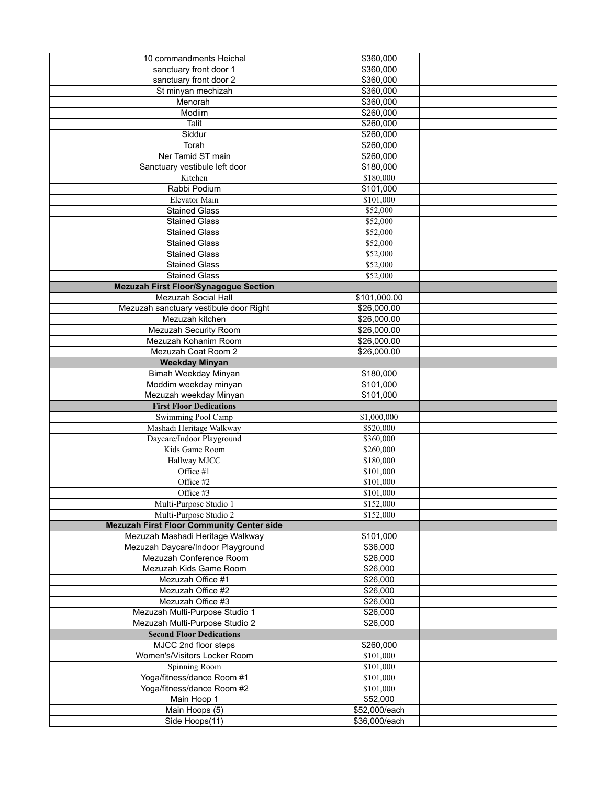| 10 commandments Heichal                          | \$360,000     |  |
|--------------------------------------------------|---------------|--|
| sanctuary front door 1                           | \$360,000     |  |
| sanctuary front door 2                           | \$360,000     |  |
| St minyan mechizah                               | \$360,000     |  |
| Menorah                                          | \$360,000     |  |
| Modiim                                           | \$260,000     |  |
| <b>Talit</b>                                     | \$260,000     |  |
| Siddur                                           | \$260,000     |  |
| Torah                                            | \$260,000     |  |
| Ner Tamid ST main                                | \$260,000     |  |
| Sanctuary vestibule left door                    | \$180,000     |  |
| Kitchen                                          | \$180,000     |  |
| Rabbi Podium                                     | \$101,000     |  |
| Elevator Main                                    | \$101,000     |  |
| <b>Stained Glass</b>                             | \$52,000      |  |
| <b>Stained Glass</b>                             | \$52,000      |  |
| <b>Stained Glass</b>                             | \$52,000      |  |
| <b>Stained Glass</b>                             | \$52,000      |  |
| <b>Stained Glass</b>                             | \$52,000      |  |
| <b>Stained Glass</b>                             | \$52,000      |  |
| <b>Stained Glass</b>                             | \$52,000      |  |
| <b>Mezuzah First Floor/Synagogue Section</b>     |               |  |
| Mezuzah Social Hall                              | \$101,000.00  |  |
| Mezuzah sanctuary vestibule door Right           | \$26,000.00   |  |
| Mezuzah kitchen                                  | \$26,000.00   |  |
| Mezuzah Security Room                            | \$26,000.00   |  |
| Mezuzah Kohanim Room                             | \$26,000.00   |  |
| Mezuzah Coat Room 2                              | \$26,000.00   |  |
| <b>Weekday Minyan</b>                            |               |  |
| Bimah Weekday Minyan                             | \$180,000     |  |
| Moddim weekday minyan                            | \$101,000     |  |
| Mezuzah weekday Minyan                           | \$101,000     |  |
| <b>First Floor Dedications</b>                   |               |  |
| Swimming Pool Camp                               | \$1,000,000   |  |
| Mashadi Heritage Walkway                         | \$520,000     |  |
| Daycare/Indoor Playground                        | \$360,000     |  |
| Kids Game Room                                   | \$260,000     |  |
| Hallway MJCC                                     | \$180,000     |  |
| Office #1                                        | \$101,000     |  |
| Office #2                                        | \$101,000     |  |
| Office #3                                        | \$101,000     |  |
| Multi-Purpose Studio 1                           | \$152,000     |  |
| Multi-Purpose Studio 2                           | \$152,000     |  |
| <b>Mezuzah First Floor Community Center side</b> |               |  |
| Mezuzah Mashadi Heritage Walkway                 | \$101,000     |  |
| Mezuzah Daycare/Indoor Playground                | \$36,000      |  |
| Mezuzah Conference Room                          | \$26,000      |  |
| Mezuzah Kids Game Room                           | \$26,000      |  |
| Mezuzah Office #1                                | \$26,000      |  |
| Mezuzah Office #2                                | \$26,000      |  |
| Mezuzah Office #3                                | \$26,000      |  |
| Mezuzah Multi-Purpose Studio 1                   | \$26,000      |  |
| Mezuzah Multi-Purpose Studio 2                   | \$26,000      |  |
| <b>Second Floor Dedications</b>                  |               |  |
| MJCC 2nd floor steps                             | \$260,000     |  |
| Women's/Visitors Locker Room                     | \$101,000     |  |
| Spinning Room                                    | \$101,000     |  |
| Yoga/fitness/dance Room #1                       | \$101,000     |  |
| Yoga/fitness/dance Room #2                       | \$101,000     |  |
| Main Hoop 1                                      | \$52,000      |  |
| Main Hoops (5)                                   | \$52,000/each |  |
| Side Hoops(11)                                   | \$36,000/each |  |